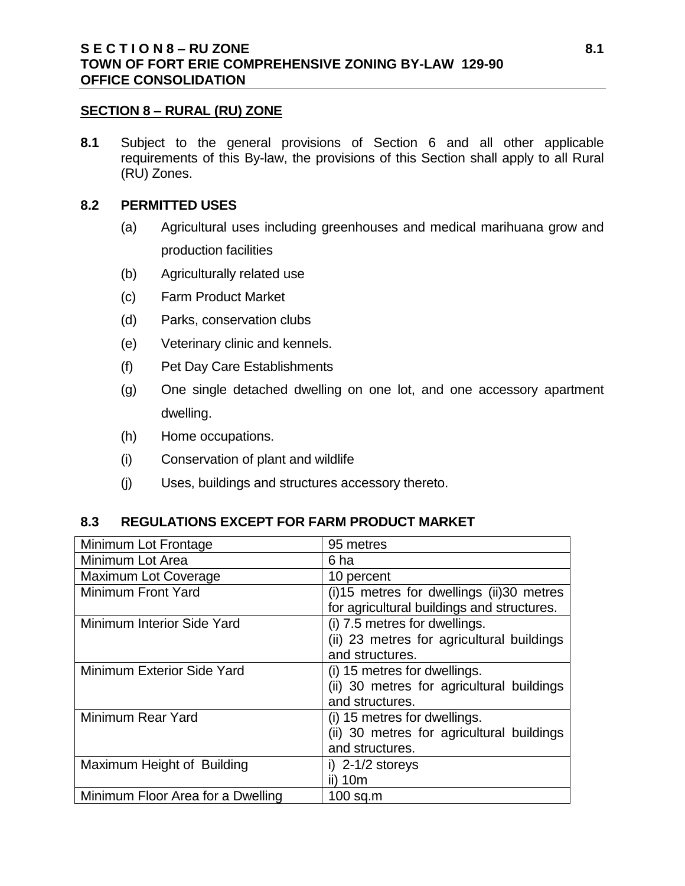#### **SECTION 8 – RURAL (RU) ZONE**

**8.1** Subject to the general provisions of Section 6 and all other applicable requirements of this By-law, the provisions of this Section shall apply to all Rural (RU) Zones.

#### **8.2 PERMITTED USES**

- (a) Agricultural uses including greenhouses and medical marihuana grow and production facilities
- (b) Agriculturally related use
- (c) Farm Product Market
- (d) Parks, conservation clubs
- (e) Veterinary clinic and kennels.
- (f) Pet Day Care Establishments
- (g) One single detached dwelling on one lot, and one accessory apartment dwelling.
- (h) Home occupations.
- (i) Conservation of plant and wildlife
- (j) Uses, buildings and structures accessory thereto.

#### **8.3 REGULATIONS EXCEPT FOR FARM PRODUCT MARKET**

| Minimum Lot Frontage              | 95 metres                                      |
|-----------------------------------|------------------------------------------------|
| Minimum Lot Area                  | 6 ha                                           |
| <b>Maximum Lot Coverage</b>       | 10 percent                                     |
| Minimum Front Yard                | $(i)$ 15 metres for dwellings $(ii)$ 30 metres |
|                                   | for agricultural buildings and structures.     |
| Minimum Interior Side Yard        | (i) 7.5 metres for dwellings.                  |
|                                   | (ii) 23 metres for agricultural buildings      |
|                                   | and structures.                                |
| Minimum Exterior Side Yard        | (i) 15 metres for dwellings.                   |
|                                   | (ii) 30 metres for agricultural buildings      |
|                                   | and structures.                                |
| Minimum Rear Yard                 | (i) 15 metres for dwellings.                   |
|                                   | (ii) 30 metres for agricultural buildings      |
|                                   | and structures.                                |
| Maximum Height of Building        | i) $2-1/2$ storeys                             |
|                                   | ii) 10m                                        |
| Minimum Floor Area for a Dwelling | $100$ sq.m                                     |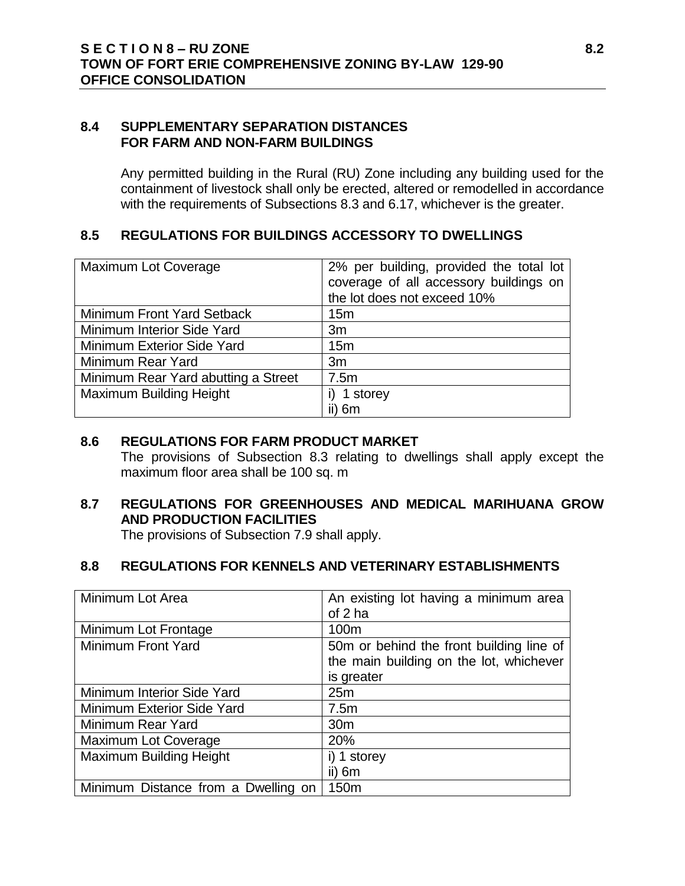### **8.4 SUPPLEMENTARY SEPARATION DISTANCES FOR FARM AND NON-FARM BUILDINGS**

Any permitted building in the Rural (RU) Zone including any building used for the containment of livestock shall only be erected, altered or remodelled in accordance with the requirements of Subsections 8.3 and 6.17, whichever is the greater.

# **8.5 REGULATIONS FOR BUILDINGS ACCESSORY TO DWELLINGS**

| <b>Maximum Lot Coverage</b>         | 2% per building, provided the total lot<br>coverage of all accessory buildings on<br>the lot does not exceed 10% |
|-------------------------------------|------------------------------------------------------------------------------------------------------------------|
| Minimum Front Yard Setback          | 15 <sub>m</sub>                                                                                                  |
| Minimum Interior Side Yard          | 3m                                                                                                               |
| Minimum Exterior Side Yard          | 15m                                                                                                              |
| Minimum Rear Yard                   | 3m                                                                                                               |
| Minimum Rear Yard abutting a Street | 7.5m                                                                                                             |
| <b>Maximum Building Height</b>      | 1 storey                                                                                                         |
|                                     | ii) 6m                                                                                                           |

# **8.6 REGULATIONS FOR FARM PRODUCT MARKET**

The provisions of Subsection 8.3 relating to dwellings shall apply except the maximum floor area shall be 100 sq. m

# **8.7 REGULATIONS FOR GREENHOUSES AND MEDICAL MARIHUANA GROW AND PRODUCTION FACILITIES**

The provisions of Subsection 7.9 shall apply.

# **8.8 REGULATIONS FOR KENNELS AND VETERINARY ESTABLISHMENTS**

| Minimum Lot Area                    | An existing lot having a minimum area    |
|-------------------------------------|------------------------------------------|
|                                     | of 2 ha                                  |
| Minimum Lot Frontage                | 100m                                     |
| Minimum Front Yard                  | 50m or behind the front building line of |
|                                     | the main building on the lot, whichever  |
|                                     | is greater                               |
| Minimum Interior Side Yard          | 25m                                      |
| <b>Minimum Exterior Side Yard</b>   | 7.5m                                     |
| Minimum Rear Yard                   | 30 <sub>m</sub>                          |
| <b>Maximum Lot Coverage</b>         | 20%                                      |
| <b>Maximum Building Height</b>      | i) 1 storey                              |
|                                     | $ii)$ 6m                                 |
| Minimum Distance from a Dwelling on | 150m                                     |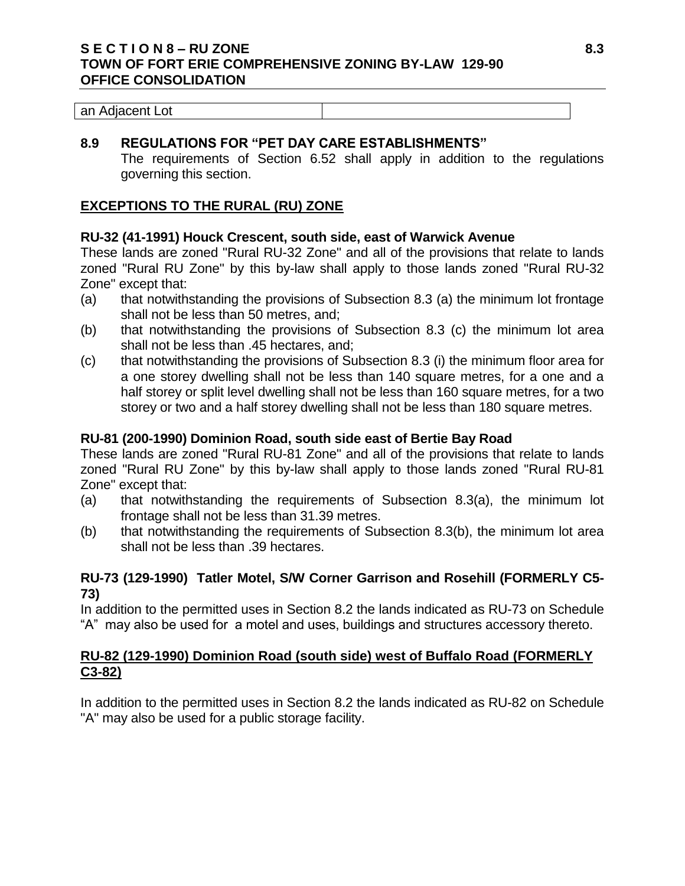### **S E C T I O N 8 – RU ZONE 8.3 TOWN OF FORT ERIE COMPREHENSIVE ZONING BY-LAW 129-90 OFFICE CONSOLIDATION**

| an Adjacent Lot |  |
|-----------------|--|
|-----------------|--|

### **8.9 REGULATIONS FOR "PET DAY CARE ESTABLISHMENTS"**

The requirements of Section 6.52 shall apply in addition to the regulations governing this section.

### **EXCEPTIONS TO THE RURAL (RU) ZONE**

#### **RU-32 (41-1991) Houck Crescent, south side, east of Warwick Avenue**

These lands are zoned "Rural RU-32 Zone" and all of the provisions that relate to lands zoned "Rural RU Zone" by this by-law shall apply to those lands zoned "Rural RU-32 Zone" except that:

- (a) that notwithstanding the provisions of Subsection 8.3 (a) the minimum lot frontage shall not be less than 50 metres, and;
- (b) that notwithstanding the provisions of Subsection 8.3 (c) the minimum lot area shall not be less than .45 hectares, and;
- (c) that notwithstanding the provisions of Subsection 8.3 (i) the minimum floor area for a one storey dwelling shall not be less than 140 square metres, for a one and a half storey or split level dwelling shall not be less than 160 square metres, for a two storey or two and a half storey dwelling shall not be less than 180 square metres.

#### **RU-81 (200-1990) Dominion Road, south side east of Bertie Bay Road**

These lands are zoned "Rural RU-81 Zone" and all of the provisions that relate to lands zoned "Rural RU Zone" by this by-law shall apply to those lands zoned "Rural RU-81 Zone" except that:

- (a) that notwithstanding the requirements of Subsection 8.3(a), the minimum lot frontage shall not be less than 31.39 metres.
- (b) that notwithstanding the requirements of Subsection 8.3(b), the minimum lot area shall not be less than .39 hectares.

# **RU-73 (129-1990) Tatler Motel, S/W Corner Garrison and Rosehill (FORMERLY C5- 73)**

In addition to the permitted uses in Section 8.2 the lands indicated as RU-73 on Schedule "A" may also be used for a motel and uses, buildings and structures accessory thereto.

# **RU-82 (129-1990) Dominion Road (south side) west of Buffalo Road (FORMERLY C3-82)**

In addition to the permitted uses in Section 8.2 the lands indicated as RU-82 on Schedule "A" may also be used for a public storage facility.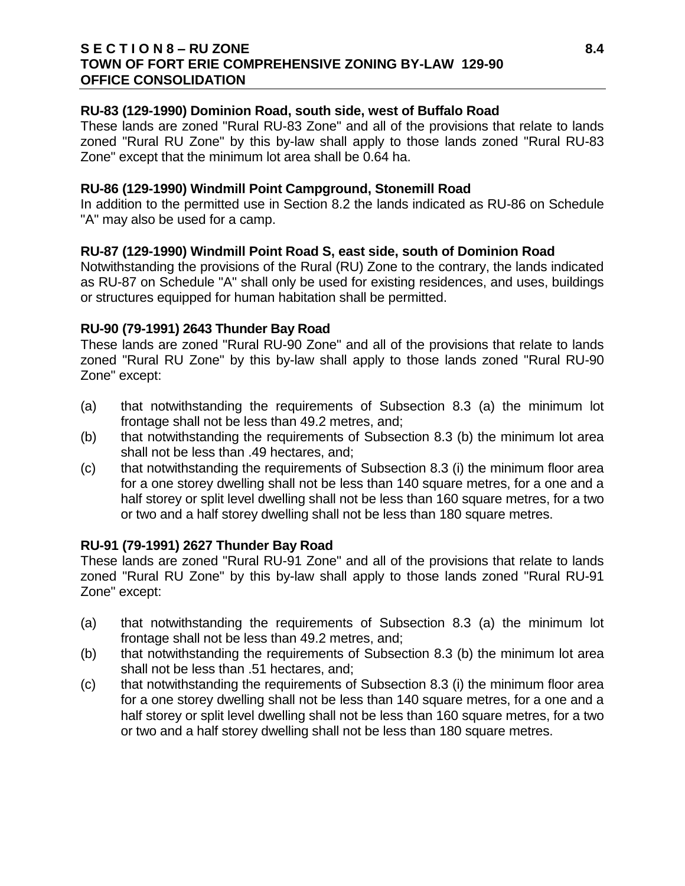### **S E C T I O N 8 – RU ZONE 8.4 TOWN OF FORT ERIE COMPREHENSIVE ZONING BY-LAW 129-90 OFFICE CONSOLIDATION**

#### **RU-83 (129-1990) Dominion Road, south side, west of Buffalo Road**

These lands are zoned "Rural RU-83 Zone" and all of the provisions that relate to lands zoned "Rural RU Zone" by this by-law shall apply to those lands zoned "Rural RU-83 Zone" except that the minimum lot area shall be 0.64 ha.

### **RU-86 (129-1990) Windmill Point Campground, Stonemill Road**

In addition to the permitted use in Section 8.2 the lands indicated as RU-86 on Schedule "A" may also be used for a camp.

### **RU-87 (129-1990) Windmill Point Road S, east side, south of Dominion Road**

Notwithstanding the provisions of the Rural (RU) Zone to the contrary, the lands indicated as RU-87 on Schedule "A" shall only be used for existing residences, and uses, buildings or structures equipped for human habitation shall be permitted.

### **RU-90 (79-1991) 2643 Thunder Bay Road**

These lands are zoned "Rural RU-90 Zone" and all of the provisions that relate to lands zoned "Rural RU Zone" by this by-law shall apply to those lands zoned "Rural RU-90 Zone" except:

- (a) that notwithstanding the requirements of Subsection 8.3 (a) the minimum lot frontage shall not be less than 49.2 metres, and;
- (b) that notwithstanding the requirements of Subsection 8.3 (b) the minimum lot area shall not be less than .49 hectares, and;
- (c) that notwithstanding the requirements of Subsection 8.3 (i) the minimum floor area for a one storey dwelling shall not be less than 140 square metres, for a one and a half storey or split level dwelling shall not be less than 160 square metres, for a two or two and a half storey dwelling shall not be less than 180 square metres.

#### **RU-91 (79-1991) 2627 Thunder Bay Road**

These lands are zoned "Rural RU-91 Zone" and all of the provisions that relate to lands zoned "Rural RU Zone" by this by-law shall apply to those lands zoned "Rural RU-91 Zone" except:

- (a) that notwithstanding the requirements of Subsection 8.3 (a) the minimum lot frontage shall not be less than 49.2 metres, and;
- (b) that notwithstanding the requirements of Subsection 8.3 (b) the minimum lot area shall not be less than .51 hectares, and;
- (c) that notwithstanding the requirements of Subsection 8.3 (i) the minimum floor area for a one storey dwelling shall not be less than 140 square metres, for a one and a half storey or split level dwelling shall not be less than 160 square metres, for a two or two and a half storey dwelling shall not be less than 180 square metres.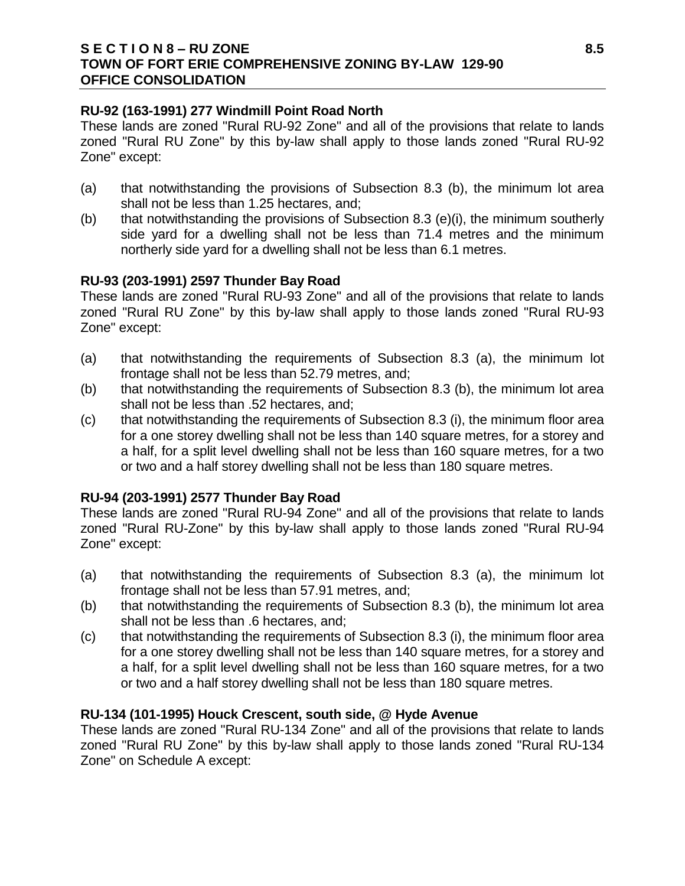### **S E C T I O N 8 – RU ZONE 8.5 TOWN OF FORT ERIE COMPREHENSIVE ZONING BY-LAW 129-90 OFFICE CONSOLIDATION**

### **RU-92 (163-1991) 277 Windmill Point Road North**

These lands are zoned "Rural RU-92 Zone" and all of the provisions that relate to lands zoned "Rural RU Zone" by this by-law shall apply to those lands zoned "Rural RU-92 Zone" except:

- (a) that notwithstanding the provisions of Subsection 8.3 (b), the minimum lot area shall not be less than 1.25 hectares, and;
- (b) that notwithstanding the provisions of Subsection 8.3 (e)(i), the minimum southerly side yard for a dwelling shall not be less than 71.4 metres and the minimum northerly side yard for a dwelling shall not be less than 6.1 metres.

### **RU-93 (203-1991) 2597 Thunder Bay Road**

These lands are zoned "Rural RU-93 Zone" and all of the provisions that relate to lands zoned "Rural RU Zone" by this by-law shall apply to those lands zoned "Rural RU-93 Zone" except:

- (a) that notwithstanding the requirements of Subsection 8.3 (a), the minimum lot frontage shall not be less than 52.79 metres, and;
- (b) that notwithstanding the requirements of Subsection 8.3 (b), the minimum lot area shall not be less than .52 hectares, and;
- (c) that notwithstanding the requirements of Subsection 8.3 (i), the minimum floor area for a one storey dwelling shall not be less than 140 square metres, for a storey and a half, for a split level dwelling shall not be less than 160 square metres, for a two or two and a half storey dwelling shall not be less than 180 square metres.

# **RU-94 (203-1991) 2577 Thunder Bay Road**

These lands are zoned "Rural RU-94 Zone" and all of the provisions that relate to lands zoned "Rural RU-Zone" by this by-law shall apply to those lands zoned "Rural RU-94 Zone" except:

- (a) that notwithstanding the requirements of Subsection 8.3 (a), the minimum lot frontage shall not be less than 57.91 metres, and;
- (b) that notwithstanding the requirements of Subsection 8.3 (b), the minimum lot area shall not be less than .6 hectares, and;
- (c) that notwithstanding the requirements of Subsection 8.3 (i), the minimum floor area for a one storey dwelling shall not be less than 140 square metres, for a storey and a half, for a split level dwelling shall not be less than 160 square metres, for a two or two and a half storey dwelling shall not be less than 180 square metres.

# **RU-134 (101-1995) Houck Crescent, south side, @ Hyde Avenue**

These lands are zoned "Rural RU-134 Zone" and all of the provisions that relate to lands zoned "Rural RU Zone" by this by-law shall apply to those lands zoned "Rural RU-134 Zone" on Schedule A except: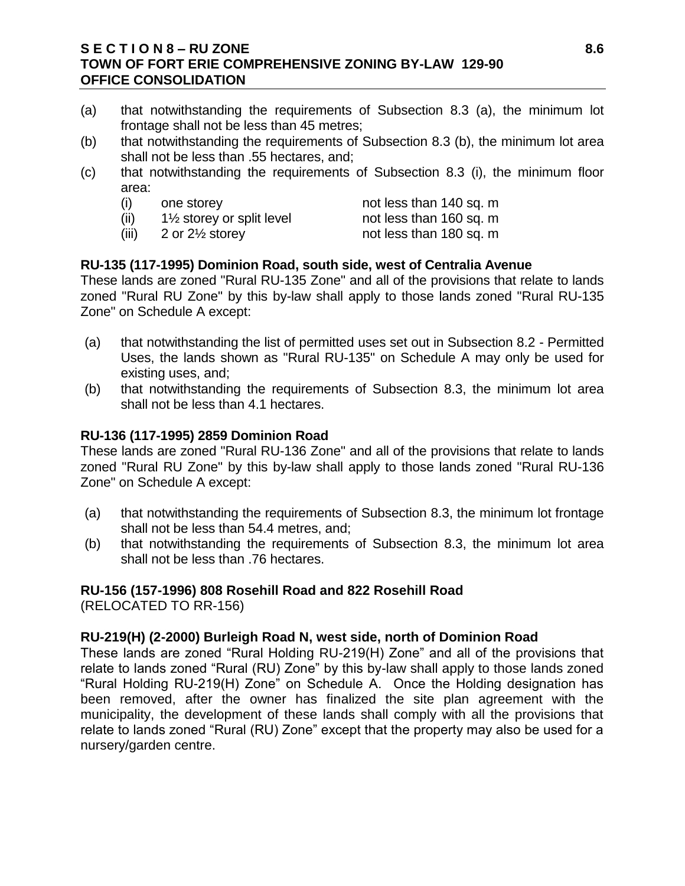### **S E C T I O N 8 – RU ZONE 8.6 TOWN OF FORT ERIE COMPREHENSIVE ZONING BY-LAW 129-90 OFFICE CONSOLIDATION**

- (a) that notwithstanding the requirements of Subsection 8.3 (a), the minimum lot frontage shall not be less than 45 metres;
- (b) that notwithstanding the requirements of Subsection 8.3 (b), the minimum lot area shall not be less than .55 hectares, and;
- (c) that notwithstanding the requirements of Subsection 8.3 (i), the minimum floor area:
	- (i) one storey not less than 140 sq. m
	- $(ii)$  1½ storey or split level not less than 160 sq. m
	- $(iii)$  2 or  $2\frac{1}{2}$  storey not less than 180 sq. m

# **RU-135 (117-1995) Dominion Road, south side, west of Centralia Avenue**

These lands are zoned "Rural RU-135 Zone" and all of the provisions that relate to lands zoned "Rural RU Zone" by this by-law shall apply to those lands zoned "Rural RU-135 Zone" on Schedule A except:

- (a) that notwithstanding the list of permitted uses set out in Subsection 8.2 Permitted Uses, the lands shown as "Rural RU-135" on Schedule A may only be used for existing uses, and;
- (b) that notwithstanding the requirements of Subsection 8.3, the minimum lot area shall not be less than 4.1 hectares.

### **RU-136 (117-1995) 2859 Dominion Road**

These lands are zoned "Rural RU-136 Zone" and all of the provisions that relate to lands zoned "Rural RU Zone" by this by-law shall apply to those lands zoned "Rural RU-136 Zone" on Schedule A except:

- (a) that notwithstanding the requirements of Subsection 8.3, the minimum lot frontage shall not be less than 54.4 metres, and;
- (b) that notwithstanding the requirements of Subsection 8.3, the minimum lot area shall not be less than .76 hectares.

# **RU-156 (157-1996) 808 Rosehill Road and 822 Rosehill Road**

(RELOCATED TO RR-156)

#### **RU-219(H) (2-2000) Burleigh Road N, west side, north of Dominion Road**

These lands are zoned "Rural Holding RU-219(H) Zone" and all of the provisions that relate to lands zoned "Rural (RU) Zone" by this by-law shall apply to those lands zoned "Rural Holding RU-219(H) Zone" on Schedule A. Once the Holding designation has been removed, after the owner has finalized the site plan agreement with the municipality, the development of these lands shall comply with all the provisions that relate to lands zoned "Rural (RU) Zone" except that the property may also be used for a nursery/garden centre.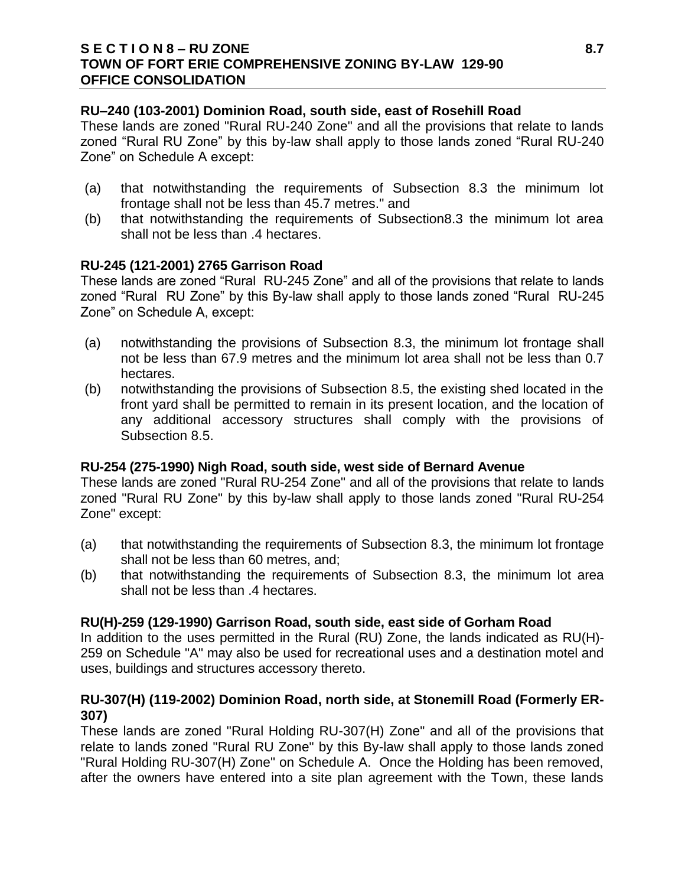# **RU–240 (103-2001) Dominion Road, south side, east of Rosehill Road**

These lands are zoned "Rural RU-240 Zone" and all the provisions that relate to lands zoned "Rural RU Zone" by this by-law shall apply to those lands zoned "Rural RU-240 Zone" on Schedule A except:

- (a) that notwithstanding the requirements of Subsection 8.3 the minimum lot frontage shall not be less than 45.7 metres." and
- (b) that notwithstanding the requirements of Subsection8.3 the minimum lot area shall not be less than .4 hectares.

# **RU-245 (121-2001) 2765 Garrison Road**

These lands are zoned "Rural RU-245 Zone" and all of the provisions that relate to lands zoned "Rural RU Zone" by this By-law shall apply to those lands zoned "Rural RU-245 Zone" on Schedule A, except:

- (a) notwithstanding the provisions of Subsection 8.3, the minimum lot frontage shall not be less than 67.9 metres and the minimum lot area shall not be less than 0.7 hectares.
- (b) notwithstanding the provisions of Subsection 8.5, the existing shed located in the front yard shall be permitted to remain in its present location, and the location of any additional accessory structures shall comply with the provisions of Subsection 8.5.

# **RU-254 (275-1990) Nigh Road, south side, west side of Bernard Avenue**

These lands are zoned "Rural RU-254 Zone" and all of the provisions that relate to lands zoned "Rural RU Zone" by this by-law shall apply to those lands zoned "Rural RU-254 Zone" except:

- (a) that notwithstanding the requirements of Subsection 8.3, the minimum lot frontage shall not be less than 60 metres, and;
- (b) that notwithstanding the requirements of Subsection 8.3, the minimum lot area shall not be less than .4 hectares.

# **RU(H)-259 (129-1990) Garrison Road, south side, east side of Gorham Road**

In addition to the uses permitted in the Rural (RU) Zone, the lands indicated as RU(H)- 259 on Schedule "A" may also be used for recreational uses and a destination motel and uses, buildings and structures accessory thereto.

# **RU-307(H) (119-2002) Dominion Road, north side, at Stonemill Road (Formerly ER-307)**

These lands are zoned "Rural Holding RU-307(H) Zone" and all of the provisions that relate to lands zoned "Rural RU Zone" by this By-law shall apply to those lands zoned "Rural Holding RU-307(H) Zone" on Schedule A. Once the Holding has been removed, after the owners have entered into a site plan agreement with the Town, these lands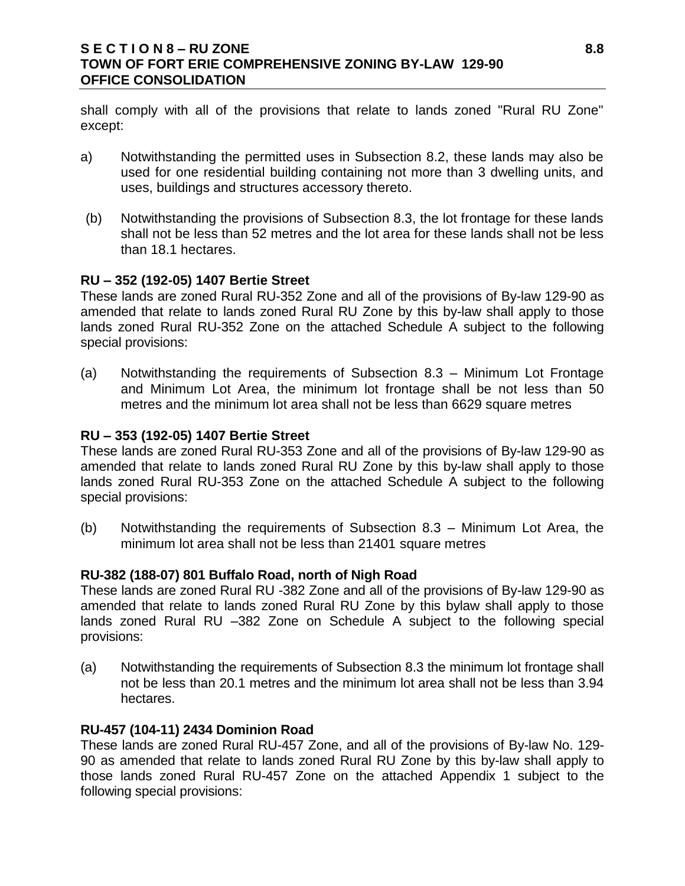# **S E C T I O N 8 – RU ZONE 8.8 TOWN OF FORT ERIE COMPREHENSIVE ZONING BY-LAW 129-90 OFFICE CONSOLIDATION**

shall comply with all of the provisions that relate to lands zoned "Rural RU Zone" except:

- a) Notwithstanding the permitted uses in Subsection 8.2, these lands may also be used for one residential building containing not more than 3 dwelling units, and uses, buildings and structures accessory thereto.
- (b) Notwithstanding the provisions of Subsection 8.3, the lot frontage for these lands shall not be less than 52 metres and the lot area for these lands shall not be less than 18.1 hectares.

### **RU – 352 (192-05) 1407 Bertie Street**

These lands are zoned Rural RU-352 Zone and all of the provisions of By-law 129-90 as amended that relate to lands zoned Rural RU Zone by this by-law shall apply to those lands zoned Rural RU-352 Zone on the attached Schedule A subject to the following special provisions:

(a) Notwithstanding the requirements of Subsection 8.3 – Minimum Lot Frontage and Minimum Lot Area, the minimum lot frontage shall be not less than 50 metres and the minimum lot area shall not be less than 6629 square metres

### **RU – 353 (192-05) 1407 Bertie Street**

These lands are zoned Rural RU-353 Zone and all of the provisions of By-law 129-90 as amended that relate to lands zoned Rural RU Zone by this by-law shall apply to those lands zoned Rural RU-353 Zone on the attached Schedule A subject to the following special provisions:

(b) Notwithstanding the requirements of Subsection 8.3 – Minimum Lot Area, the minimum lot area shall not be less than 21401 square metres

# **RU-382 (188-07) 801 Buffalo Road, north of Nigh Road**

These lands are zoned Rural RU -382 Zone and all of the provisions of By-law 129-90 as amended that relate to lands zoned Rural RU Zone by this bylaw shall apply to those lands zoned Rural RU –382 Zone on Schedule A subject to the following special provisions:

(a) Notwithstanding the requirements of Subsection 8.3 the minimum lot frontage shall not be less than 20.1 metres and the minimum lot area shall not be less than 3.94 hectares.

# **RU-457 (104-11) 2434 Dominion Road**

These lands are zoned Rural RU-457 Zone, and all of the provisions of By-law No. 129- 90 as amended that relate to lands zoned Rural RU Zone by this by-law shall apply to those lands zoned Rural RU-457 Zone on the attached Appendix 1 subject to the following special provisions: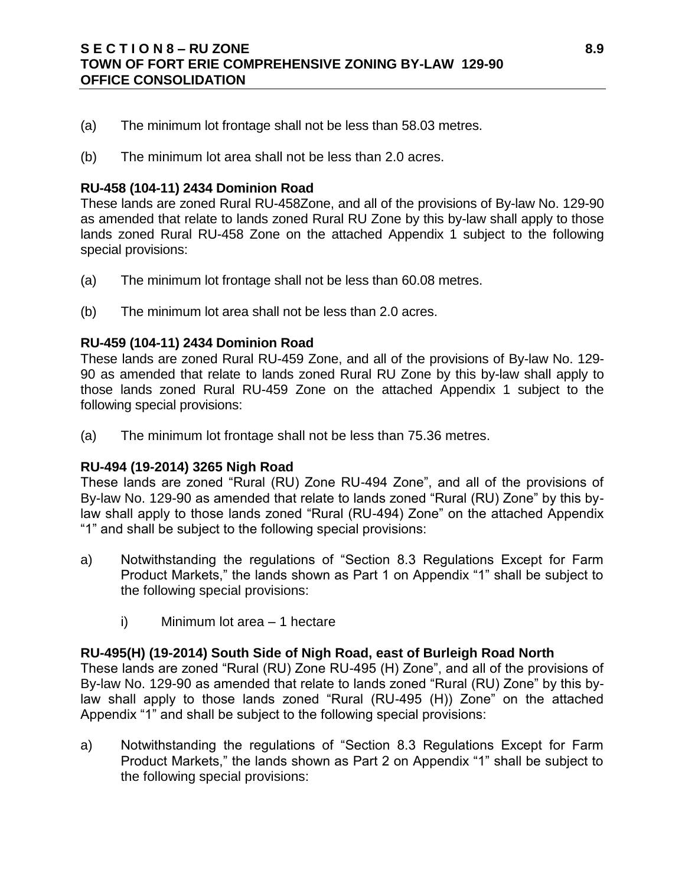# **S E C T I O N 8 – RU ZONE 8.9 TOWN OF FORT ERIE COMPREHENSIVE ZONING BY-LAW 129-90 OFFICE CONSOLIDATION**

- (a) The minimum lot frontage shall not be less than 58.03 metres.
- (b) The minimum lot area shall not be less than 2.0 acres.

#### **RU-458 (104-11) 2434 Dominion Road**

These lands are zoned Rural RU-458Zone, and all of the provisions of By-law No. 129-90 as amended that relate to lands zoned Rural RU Zone by this by-law shall apply to those lands zoned Rural RU-458 Zone on the attached Appendix 1 subject to the following special provisions:

- (a) The minimum lot frontage shall not be less than 60.08 metres.
- (b) The minimum lot area shall not be less than 2.0 acres.

#### **RU-459 (104-11) 2434 Dominion Road**

These lands are zoned Rural RU-459 Zone, and all of the provisions of By-law No. 129- 90 as amended that relate to lands zoned Rural RU Zone by this by-law shall apply to those lands zoned Rural RU-459 Zone on the attached Appendix 1 subject to the following special provisions:

(a) The minimum lot frontage shall not be less than 75.36 metres.

#### **RU-494 (19-2014) 3265 Nigh Road**

These lands are zoned "Rural (RU) Zone RU-494 Zone", and all of the provisions of By-law No. 129-90 as amended that relate to lands zoned "Rural (RU) Zone" by this bylaw shall apply to those lands zoned "Rural (RU-494) Zone" on the attached Appendix "1" and shall be subject to the following special provisions:

- a) Notwithstanding the regulations of "Section 8.3 Regulations Except for Farm Product Markets," the lands shown as Part 1 on Appendix "1" shall be subject to the following special provisions:
	- i) Minimum lot area 1 hectare

#### **RU-495(H) (19-2014) South Side of Nigh Road, east of Burleigh Road North**

These lands are zoned "Rural (RU) Zone RU-495 (H) Zone", and all of the provisions of By-law No. 129-90 as amended that relate to lands zoned "Rural (RU) Zone" by this bylaw shall apply to those lands zoned "Rural (RU-495 (H)) Zone" on the attached Appendix "1" and shall be subject to the following special provisions:

a) Notwithstanding the regulations of "Section 8.3 Regulations Except for Farm Product Markets," the lands shown as Part 2 on Appendix "1" shall be subject to the following special provisions: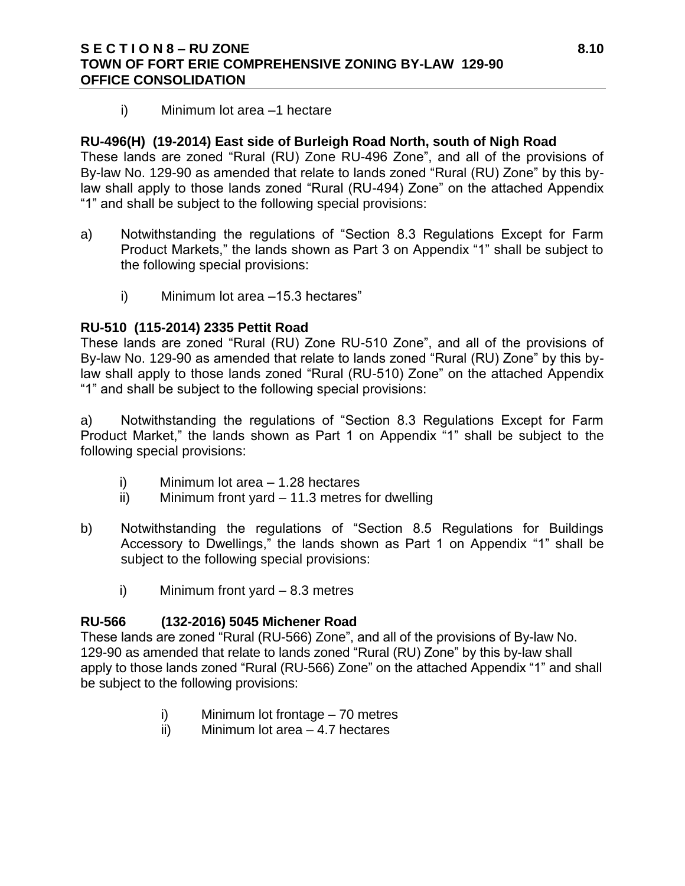# **S E C T I O N 8 – RU ZONE 8.10 TOWN OF FORT ERIE COMPREHENSIVE ZONING BY-LAW 129-90 OFFICE CONSOLIDATION**

i) Minimum lot area –1 hectare

# **RU-496(H) (19-2014) East side of Burleigh Road North, south of Nigh Road**

These lands are zoned "Rural (RU) Zone RU-496 Zone", and all of the provisions of By-law No. 129-90 as amended that relate to lands zoned "Rural (RU) Zone" by this bylaw shall apply to those lands zoned "Rural (RU-494) Zone" on the attached Appendix "1" and shall be subject to the following special provisions:

- a) Notwithstanding the regulations of "Section 8.3 Regulations Except for Farm Product Markets," the lands shown as Part 3 on Appendix "1" shall be subject to the following special provisions:
	- i) Minimum lot area –15.3 hectares"

# **RU-510 (115-2014) 2335 Pettit Road**

These lands are zoned "Rural (RU) Zone RU-510 Zone", and all of the provisions of By-law No. 129-90 as amended that relate to lands zoned "Rural (RU) Zone" by this bylaw shall apply to those lands zoned "Rural (RU-510) Zone" on the attached Appendix "1" and shall be subject to the following special provisions:

a) Notwithstanding the regulations of "Section 8.3 Regulations Except for Farm Product Market," the lands shown as Part 1 on Appendix "1" shall be subject to the following special provisions:

- i) Minimum lot area 1.28 hectares
- ii) Minimum front yard 11.3 metres for dwelling
- b) Notwithstanding the regulations of "Section 8.5 Regulations for Buildings Accessory to Dwellings," the lands shown as Part 1 on Appendix "1" shall be subject to the following special provisions:
	- i) Minimum front yard 8.3 metres

# **RU-566 (132-2016) 5045 Michener Road**

These lands are zoned "Rural (RU-566) Zone", and all of the provisions of By-law No. 129-90 as amended that relate to lands zoned "Rural (RU) Zone" by this by-law shall apply to those lands zoned "Rural (RU-566) Zone" on the attached Appendix "1" and shall be subject to the following provisions:

- i) Minimum lot frontage 70 metres
- ii) Minimum lot area 4.7 hectares